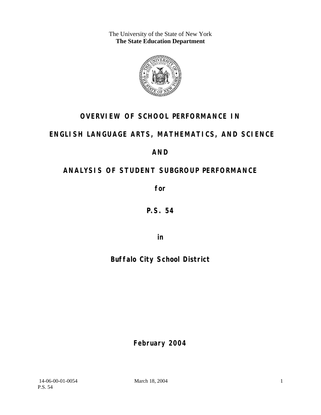The University of the State of New York **The State Education Department** 



# **OVERVIEW OF SCHOOL PERFORMANCE IN**

# **ENGLISH LANGUAGE ARTS, MATHEMATICS, AND SCIENCE**

**AND** 

# **ANALYSIS OF STUDENT SUBGROUP PERFORMANCE**

**for** 

**P.S. 54**

**in** 

# **Buffalo City School District**

**February 2004**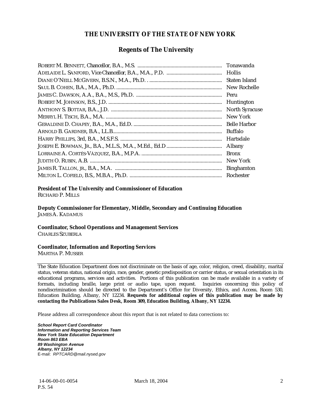## **THE UNIVERSITY OF THE STATE OF NEW YORK**

## **Regents of The University**

| Tonawanda             |
|-----------------------|
| <b>Hollis</b>         |
| Staten Island         |
| New Rochelle          |
| Peru                  |
| Huntington            |
| <b>North Syracuse</b> |
| New York              |
| <b>Belle Harbor</b>   |
| <b>Buffalo</b>        |
| Hartsdale             |
| Albany                |
| <b>Bronx</b>          |
| New York              |
| <b>Binghamton</b>     |
| Rochester             |

#### **President of The University and Commissioner of Education**

RICHARD P. MILLS

**Deputy Commissioner for Elementary, Middle, Secondary and Continuing Education**  JAMES A. KADAMUS

## **Coordinator, School Operations and Management Services**

CHARLES SZUBERLA

#### **Coordinator, Information and Reporting Services**

MARTHA P. MUSSER

The State Education Department does not discriminate on the basis of age, color, religion, creed, disability, marital status, veteran status, national origin, race, gender, genetic predisposition or carrier status, or sexual orientation in its educational programs, services and activities. Portions of this publication can be made available in a variety of formats, including braille, large print or audio tape, upon request. Inquiries concerning this policy of nondiscrimination should be directed to the Department's Office for Diversity, Ethics, and Access, Room 530, Education Building, Albany, NY 12234. **Requests for additional copies of this publication may be made by contacting the Publications Sales Desk, Room 309, Education Building, Albany, NY 12234.** 

Please address all correspondence about this report that is not related to data corrections to:

*School Report Card Coordinator Information and Reporting Services Team New York State Education Department Room 863 EBA 89 Washington Avenue Albany, NY 12234*  E-mail: *RPTCARD@mail.nysed.gov*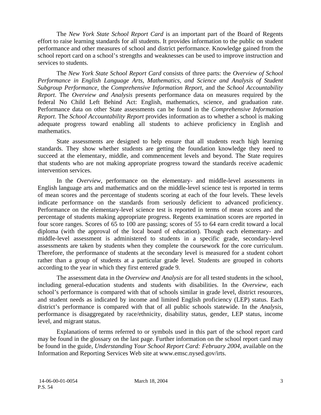The *New York State School Report Card* is an important part of the Board of Regents effort to raise learning standards for all students. It provides information to the public on student performance and other measures of school and district performance. Knowledge gained from the school report card on a school's strengths and weaknesses can be used to improve instruction and services to students.

The *New York State School Report Card* consists of three parts: the *Overview of School Performance in English Language Arts, Mathematics, and Science and Analysis of Student Subgroup Performance,* the *Comprehensive Information Report,* and the *School Accountability Report*. The *Overview and Analysis* presents performance data on measures required by the federal No Child Left Behind Act: English, mathematics, science, and graduation rate. Performance data on other State assessments can be found in the *Comprehensive Information Report*. The *School Accountability Report* provides information as to whether a school is making adequate progress toward enabling all students to achieve proficiency in English and mathematics.

State assessments are designed to help ensure that all students reach high learning standards. They show whether students are getting the foundation knowledge they need to succeed at the elementary, middle, and commencement levels and beyond. The State requires that students who are not making appropriate progress toward the standards receive academic intervention services.

In the *Overview*, performance on the elementary- and middle-level assessments in English language arts and mathematics and on the middle-level science test is reported in terms of mean scores and the percentage of students scoring at each of the four levels. These levels indicate performance on the standards from seriously deficient to advanced proficiency. Performance on the elementary-level science test is reported in terms of mean scores and the percentage of students making appropriate progress. Regents examination scores are reported in four score ranges. Scores of 65 to 100 are passing; scores of 55 to 64 earn credit toward a local diploma (with the approval of the local board of education). Though each elementary- and middle-level assessment is administered to students in a specific grade, secondary-level assessments are taken by students when they complete the coursework for the core curriculum. Therefore, the performance of students at the secondary level is measured for a student cohort rather than a group of students at a particular grade level. Students are grouped in cohorts according to the year in which they first entered grade 9.

The assessment data in the *Overview and Analysis* are for all tested students in the school, including general-education students and students with disabilities. In the *Overview*, each school's performance is compared with that of schools similar in grade level, district resources, and student needs as indicated by income and limited English proficiency (LEP) status. Each district's performance is compared with that of all public schools statewide. In the *Analysis*, performance is disaggregated by race/ethnicity, disability status, gender, LEP status, income level, and migrant status.

Explanations of terms referred to or symbols used in this part of the school report card may be found in the glossary on the last page. Further information on the school report card may be found in the guide, *Understanding Your School Report Card: February 2004*, available on the Information and Reporting Services Web site at www.emsc.nysed.gov/irts.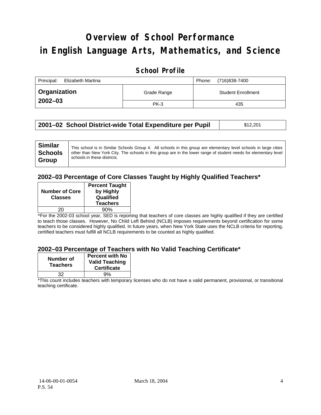# **Overview of School Performance in English Language Arts, Mathematics, and Science**

# **School Profile**

| Principal:<br>Elizabeth Martina |             | (716)838-7400<br>Phone:   |
|---------------------------------|-------------|---------------------------|
| <b>Organization</b>             | Grade Range | <b>Student Enrollment</b> |
| $2002 - 03$                     | $PK-3$      | 435                       |

| 2001–02 School District-wide Total Expenditure per Pupil | \$12,201 |
|----------------------------------------------------------|----------|
|----------------------------------------------------------|----------|

| <b>Similar</b><br><b>Schools</b> | This school is in Similar Schools Group 4. All schools in this group are elementary level schools in large cities<br>other than New York City. The schools in this group are in the lower range of student needs for elementary level<br>schools in these districts. |
|----------------------------------|----------------------------------------------------------------------------------------------------------------------------------------------------------------------------------------------------------------------------------------------------------------------|
| Group                            |                                                                                                                                                                                                                                                                      |

## **2002–03 Percentage of Core Classes Taught by Highly Qualified Teachers\***

| <b>Number of Core</b><br><b>Classes</b> | <b>Percent Taught</b><br>by Highly<br>Qualified<br><b>Teachers</b> |
|-----------------------------------------|--------------------------------------------------------------------|
|                                         |                                                                    |
| 20                                      | 90%                                                                |
|                                         |                                                                    |

\*For the 2002-03 school year, SED is reporting that teachers of core classes are highly qualified if they are certified to teach those classes. However, No Child Left Behind (NCLB) imposes requirements beyond certification for some teachers to be considered highly qualified. In future years, when New York State uses the NCLB criteria for reporting, certified teachers must fulfill all NCLB requirements to be counted as highly qualified.

### **2002–03 Percentage of Teachers with No Valid Teaching Certificate\***

| Number of<br><b>Teachers</b> | <b>Percent with No</b><br><b>Valid Teaching</b><br><b>Certificate</b> |
|------------------------------|-----------------------------------------------------------------------|
| 32                           | 9%                                                                    |

\*This count includes teachers with temporary licenses who do not have a valid permanent, provisional, or transitional teaching certificate.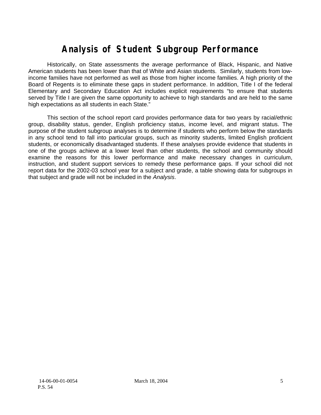# **Analysis of Student Subgroup Performance**

Historically, on State assessments the average performance of Black, Hispanic, and Native American students has been lower than that of White and Asian students. Similarly, students from lowincome families have not performed as well as those from higher income families. A high priority of the Board of Regents is to eliminate these gaps in student performance. In addition, Title I of the federal Elementary and Secondary Education Act includes explicit requirements "to ensure that students served by Title I are given the same opportunity to achieve to high standards and are held to the same high expectations as all students in each State."

This section of the school report card provides performance data for two years by racial/ethnic group, disability status, gender, English proficiency status, income level, and migrant status. The purpose of the student subgroup analyses is to determine if students who perform below the standards in any school tend to fall into particular groups, such as minority students, limited English proficient students, or economically disadvantaged students. If these analyses provide evidence that students in one of the groups achieve at a lower level than other students, the school and community should examine the reasons for this lower performance and make necessary changes in curriculum, instruction, and student support services to remedy these performance gaps. If your school did not report data for the 2002-03 school year for a subject and grade, a table showing data for subgroups in that subject and grade will not be included in the *Analysis*.